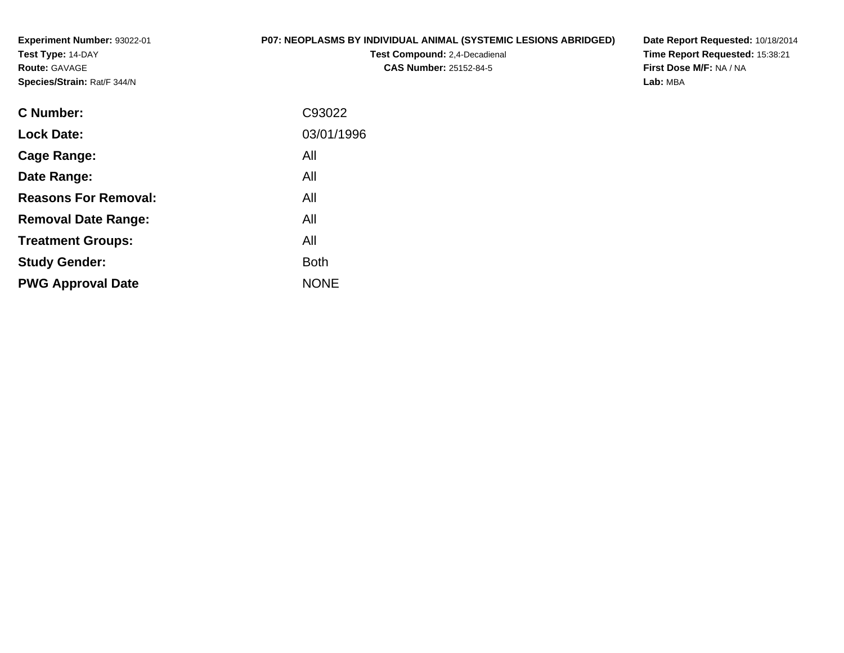**Experiment Number:** 93022-01**Test Type:** 14-DAY**Route:** GAVAGE**Species/Strain:** Rat/F 344/N

## **P07: NEOPLASMS BY INDIVIDUAL ANIMAL (SYSTEMIC LESIONS ABRIDGED)**

**Test Compound:** 2,4-Decadienal **CAS Number:** 25152-84-5

**Date Report Requested:** 10/18/2014 **Time Report Requested:** 15:38:21**First Dose M/F:** NA / NA**Lab:** MBA

| C93022      |
|-------------|
| 03/01/1996  |
| All         |
| All         |
| All         |
| All         |
| All         |
| Both        |
| <b>NONE</b> |
|             |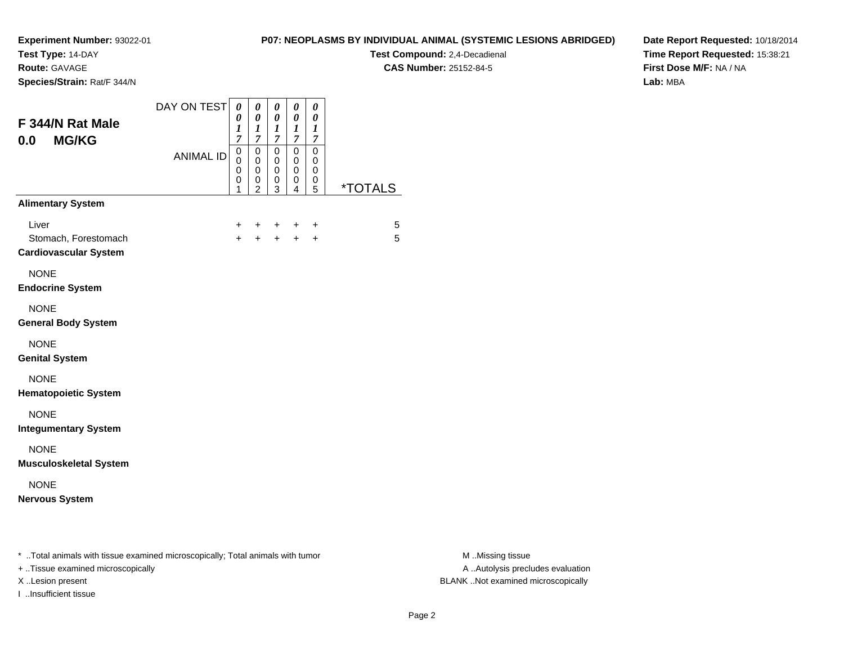**Test Type:** 14-DAY

**Route:** GAVAGE

**Species/Strain:** Rat/F 344/N

## **P07: NEOPLASMS BY INDIVIDUAL ANIMAL (SYSTEMIC LESIONS ABRIDGED)**

**Test Compound:** 2,4-Decadienal **CAS Number:** 25152-84-5

**Date Report Requested:** 10/18/2014**Time Report Requested:** 15:38:21**First Dose M/F:** NA / NA**Lab:** MBA

| F 344/N Rat Male<br><b>MG/KG</b><br>0.0                       | DAY ON TEST      | 0<br>0<br>$\boldsymbol{l}$<br>$\overline{7}$ | 0<br>$\boldsymbol{\theta}$<br>$\boldsymbol{l}$<br>$\overline{7}$ | 0<br>0<br>$\bm{l}$<br>$\overline{7}$ | 0<br>0<br>1<br>$\overline{7}$             | 0<br>0<br>1<br>7                |                       |
|---------------------------------------------------------------|------------------|----------------------------------------------|------------------------------------------------------------------|--------------------------------------|-------------------------------------------|---------------------------------|-----------------------|
|                                                               | <b>ANIMAL ID</b> | $\mathbf 0$<br>0<br>0<br>0<br>1              | $\mathbf 0$<br>0<br>0<br>0<br>$\overline{2}$                     | $\mathbf 0$<br>0<br>0<br>0<br>3      | $\mathbf 0$<br>$\mathbf 0$<br>0<br>0<br>4 | $\mathbf 0$<br>0<br>0<br>0<br>5 | <i><b>*TOTALS</b></i> |
| <b>Alimentary System</b>                                      |                  |                                              |                                                                  |                                      |                                           |                                 |                       |
| Liver<br>Stomach, Forestomach<br><b>Cardiovascular System</b> |                  | $\ddot{}$<br>$+$                             | $\ddot{}$<br>$+$                                                 | $+$<br>$+$                           | $\pm$<br>$+$                              | $\ddot{}$<br>$+$                | 5<br>5                |
| <b>NONE</b><br><b>Endocrine System</b>                        |                  |                                              |                                                                  |                                      |                                           |                                 |                       |
| <b>NONE</b><br><b>General Body System</b>                     |                  |                                              |                                                                  |                                      |                                           |                                 |                       |
| <b>NONE</b><br><b>Genital System</b>                          |                  |                                              |                                                                  |                                      |                                           |                                 |                       |
| <b>NONE</b><br><b>Hematopoietic System</b>                    |                  |                                              |                                                                  |                                      |                                           |                                 |                       |
| <b>NONE</b><br><b>Integumentary System</b>                    |                  |                                              |                                                                  |                                      |                                           |                                 |                       |
| <b>NONE</b><br><b>Musculoskeletal System</b>                  |                  |                                              |                                                                  |                                      |                                           |                                 |                       |
| <b>NONE</b><br><b>Nervous System</b>                          |                  |                                              |                                                                  |                                      |                                           |                                 |                       |

+ ..Tissue examined microscopically

I ..Insufficient tissue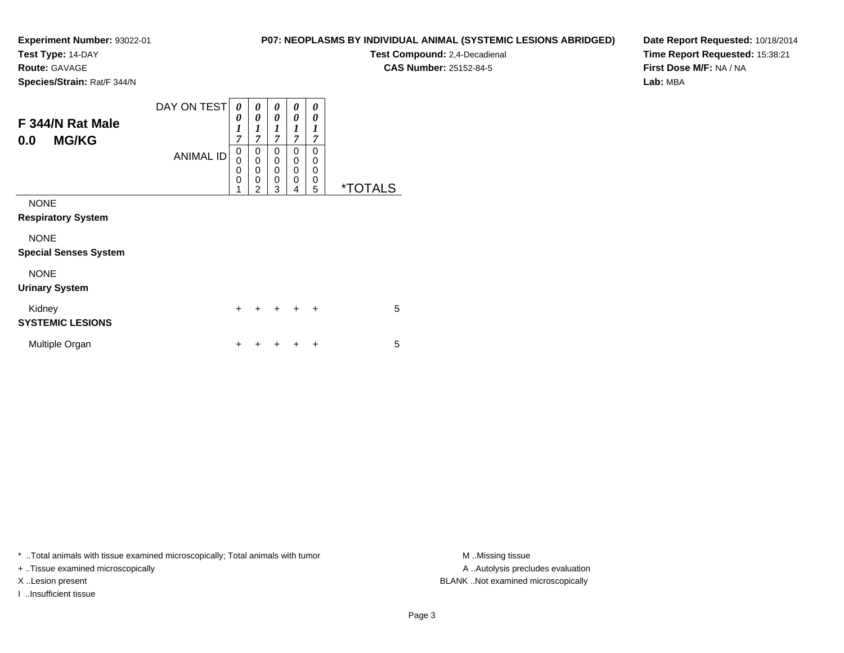**Test Type:** 14-DAY

**Route:** GAVAGE

**Species/Strain:** Rat/F 344/N

**Test Compound:** 2,4-Decadienal

**CAS Number:** 25152-84-5

**Date Report Requested:** 10/18/2014**Time Report Requested:** 15:38:21**First Dose M/F:** NA / NA**Lab:** MBA

| F 344/N Rat Male<br><b>MG/KG</b><br>0.0     | DAY ON TEST<br><b>ANIMAL ID</b> | 0<br>0<br>$\boldsymbol{l}$<br>7<br>0<br>0<br>$\mathbf 0$<br>$\mathbf 0$<br>1 | 0<br>0<br>1<br>$\overline{7}$<br>0<br>$\mathbf 0$<br>$\mathbf 0$<br>$\mathbf 0$<br>$\overline{2}$ | 0<br>0<br>1<br>$\overline{7}$<br>0<br>0<br>$\mathbf 0$<br>$\mathbf 0$<br>3 | 0<br>0<br>$\boldsymbol{l}$<br>$\overline{7}$<br>0<br>0<br>0<br>0<br>4 | 0<br>0<br>1<br>7<br>$\Omega$<br>$\mathbf 0$<br>$\mathbf 0$<br>$\mathbf 0$<br>5 | <i><b>*TOTALS</b></i> |
|---------------------------------------------|---------------------------------|------------------------------------------------------------------------------|---------------------------------------------------------------------------------------------------|----------------------------------------------------------------------------|-----------------------------------------------------------------------|--------------------------------------------------------------------------------|-----------------------|
| <b>NONE</b><br><b>Respiratory System</b>    |                                 |                                                                              |                                                                                                   |                                                                            |                                                                       |                                                                                |                       |
| <b>NONE</b><br><b>Special Senses System</b> |                                 |                                                                              |                                                                                                   |                                                                            |                                                                       |                                                                                |                       |
| <b>NONE</b><br><b>Urinary System</b>        |                                 |                                                                              |                                                                                                   |                                                                            |                                                                       |                                                                                |                       |
| Kidney<br><b>SYSTEMIC LESIONS</b>           |                                 | $\ddot{}$                                                                    | +                                                                                                 | $\div$                                                                     | $\ddot{}$                                                             | $\ddot{}$                                                                      | 5                     |
| Multiple Organ                              |                                 | +                                                                            |                                                                                                   |                                                                            |                                                                       | ٠                                                                              | 5                     |

\* ..Total animals with tissue examined microscopically; Total animals with tumor **M** ..Missing tissue M ..Missing tissue

+ ..Tissue examined microscopically

I ..Insufficient tissue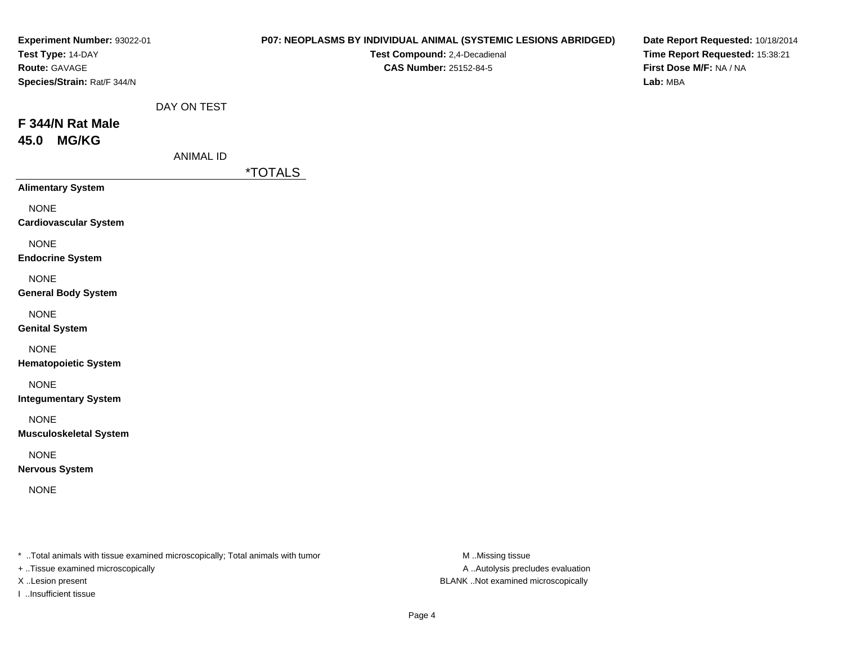|                                 | P07: NEOPLASMS BY INDIVIDUAL ANIMAL (SYSTEMIC LESIONS ABRIDGED)<br>Test Compound: 2,4-Decadienal<br><b>CAS Number: 25152-84-5</b> | Date Report Requested: 10/18/2014<br>Time Report Requested: 15:38:21<br>First Dose M/F: NA / NA<br>Lab: MBA |
|---------------------------------|-----------------------------------------------------------------------------------------------------------------------------------|-------------------------------------------------------------------------------------------------------------|
| DAY ON TEST<br><b>ANIMAL ID</b> | <i><b>*TOTALS</b></i>                                                                                                             |                                                                                                             |
|                                 |                                                                                                                                   |                                                                                                             |
|                                 |                                                                                                                                   |                                                                                                             |
|                                 |                                                                                                                                   |                                                                                                             |
|                                 |                                                                                                                                   |                                                                                                             |
|                                 |                                                                                                                                   |                                                                                                             |
|                                 |                                                                                                                                   |                                                                                                             |
|                                 |                                                                                                                                   |                                                                                                             |
|                                 |                                                                                                                                   |                                                                                                             |
|                                 |                                                                                                                                   |                                                                                                             |
|                                 |                                                                                                                                   |                                                                                                             |
|                                 |                                                                                                                                   |                                                                                                             |

\* ..Total animals with tissue examined microscopically; Total animals with tumor M..Missing tissue M

+ ..Tissue examined microscopically

I ..Insufficient tissue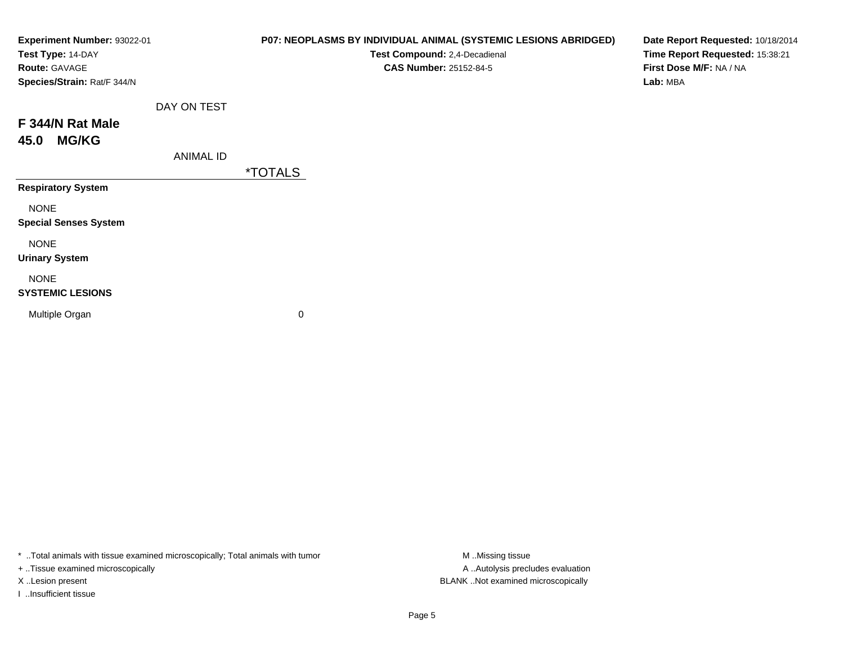| Experiment Number: 93022-01<br>Test Type: 14-DAY<br>Route: GAVAGE<br>Species/Strain: Rat/F 344/N |                  | P07: NEOPLASMS BY INDIVIDUAL ANIMAL (SYSTEMIC LESIONS ABRIDGED)<br>Test Compound: 2,4-Decadienal<br><b>CAS Number: 25152-84-5</b> | Date Report Requested: 10/18/2014<br>Time Report Requested: 15:38:21<br>First Dose M/F: NA / NA<br>Lab: MBA |
|--------------------------------------------------------------------------------------------------|------------------|-----------------------------------------------------------------------------------------------------------------------------------|-------------------------------------------------------------------------------------------------------------|
|                                                                                                  | DAY ON TEST      |                                                                                                                                   |                                                                                                             |
| F 344/N Rat Male<br><b>MG/KG</b><br>45.0                                                         |                  |                                                                                                                                   |                                                                                                             |
|                                                                                                  | <b>ANIMAL ID</b> |                                                                                                                                   |                                                                                                             |
|                                                                                                  |                  | <i><b>*TOTALS</b></i>                                                                                                             |                                                                                                             |
| <b>Respiratory System</b>                                                                        |                  |                                                                                                                                   |                                                                                                             |
| <b>NONE</b><br><b>Special Senses System</b>                                                      |                  |                                                                                                                                   |                                                                                                             |
| <b>NONE</b><br><b>Urinary System</b>                                                             |                  |                                                                                                                                   |                                                                                                             |
| <b>NONE</b><br><b>SYSTEMIC LESIONS</b>                                                           |                  |                                                                                                                                   |                                                                                                             |
| Multiple Organ                                                                                   |                  | 0                                                                                                                                 |                                                                                                             |

\* ..Total animals with tissue examined microscopically; Total animals with tumor M..Missing tissue M ..Missing tissue

+ ..Tissue examined microscopically

I ..Insufficient tissue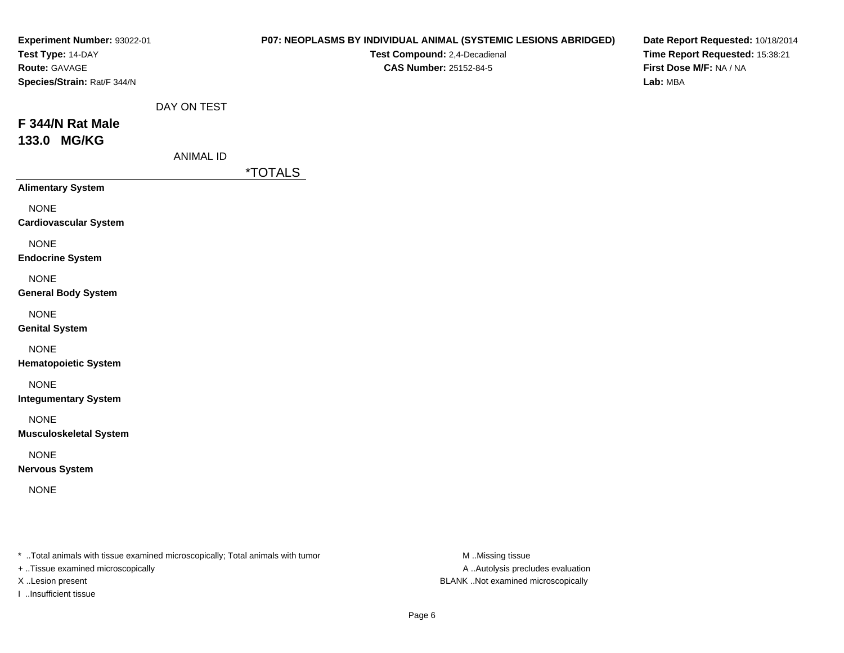| Experiment Number: 93022-01<br>Test Type: 14-DAY<br>Route: GAVAGE<br>Species/Strain: Rat/F 344/N |                                 | P07: NEOPLASMS BY INDIVIDUAL ANIMAL (SYSTEMIC LESIONS ABRIDGED)<br>Test Compound: 2,4-Decadienal<br>CAS Number: 25152-84-5 | Date Report Requested: 10/18/2014<br>Time Report Requested: 15:38:21<br>First Dose M/F: NA / NA<br>Lab: MBA |
|--------------------------------------------------------------------------------------------------|---------------------------------|----------------------------------------------------------------------------------------------------------------------------|-------------------------------------------------------------------------------------------------------------|
| F 344/N Rat Male<br>133.0 MG/KG                                                                  | DAY ON TEST<br><b>ANIMAL ID</b> | <i><b>*TOTALS</b></i>                                                                                                      |                                                                                                             |
| <b>Alimentary System</b>                                                                         |                                 |                                                                                                                            |                                                                                                             |
| <b>NONE</b><br><b>Cardiovascular System</b>                                                      |                                 |                                                                                                                            |                                                                                                             |
| <b>NONE</b><br><b>Endocrine System</b>                                                           |                                 |                                                                                                                            |                                                                                                             |
| <b>NONE</b><br><b>General Body System</b>                                                        |                                 |                                                                                                                            |                                                                                                             |
| <b>NONE</b><br><b>Genital System</b>                                                             |                                 |                                                                                                                            |                                                                                                             |
| <b>NONE</b><br><b>Hematopoietic System</b>                                                       |                                 |                                                                                                                            |                                                                                                             |
| <b>NONE</b><br><b>Integumentary System</b>                                                       |                                 |                                                                                                                            |                                                                                                             |
| <b>NONE</b><br><b>Musculoskeletal System</b>                                                     |                                 |                                                                                                                            |                                                                                                             |
| <b>NONE</b><br><b>Nervous System</b>                                                             |                                 |                                                                                                                            |                                                                                                             |
| <b>NONE</b>                                                                                      |                                 |                                                                                                                            |                                                                                                             |

\* ..Total animals with tissue examined microscopically; Total animals with tumor M..Missing tissue M

+ ..Tissue examined microscopically

I ..Insufficient tissue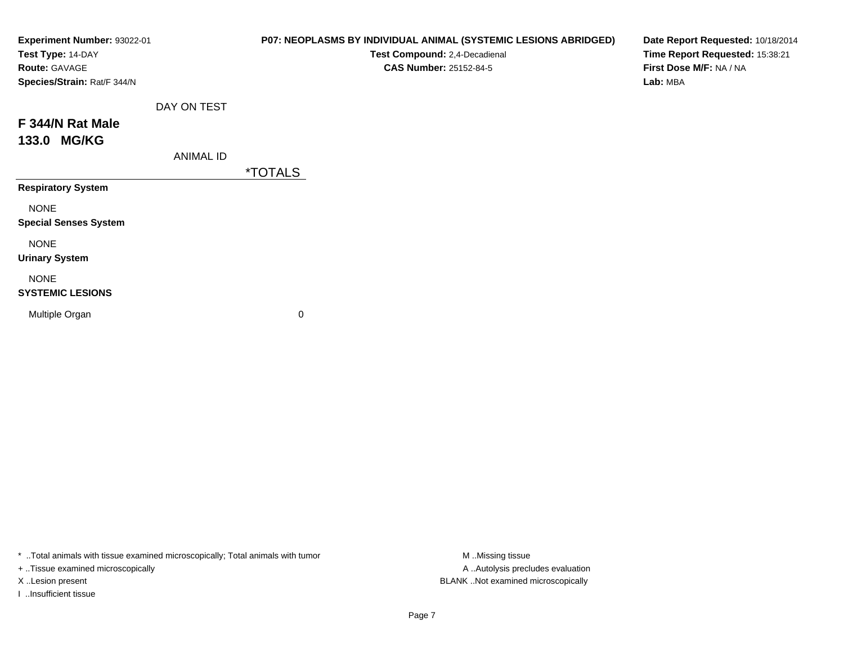| Experiment Number: 93022-01<br>Test Type: 14-DAY<br>Route: GAVAGE<br>Species/Strain: Rat/F 344/N |             | P07: NEOPLASMS BY INDIVIDUAL ANIMAL (SYSTEMIC LESIONS ABRIDGED)<br>Test Compound: 2,4-Decadienal<br><b>CAS Number: 25152-84-5</b> | Date Report Requested: 10/18/2014<br>Time Report Requested: 15:38:21<br>First Dose M/F: NA / NA<br>Lab: MBA |
|--------------------------------------------------------------------------------------------------|-------------|-----------------------------------------------------------------------------------------------------------------------------------|-------------------------------------------------------------------------------------------------------------|
|                                                                                                  | DAY ON TEST |                                                                                                                                   |                                                                                                             |
| F 344/N Rat Male<br>133.0 MG/KG                                                                  |             |                                                                                                                                   |                                                                                                             |
|                                                                                                  | ANIMAL ID   |                                                                                                                                   |                                                                                                             |
|                                                                                                  |             | <i><b>*TOTALS</b></i>                                                                                                             |                                                                                                             |
| <b>Respiratory System</b>                                                                        |             |                                                                                                                                   |                                                                                                             |
| <b>NONE</b><br><b>Special Senses System</b>                                                      |             |                                                                                                                                   |                                                                                                             |
| <b>NONE</b><br><b>Urinary System</b>                                                             |             |                                                                                                                                   |                                                                                                             |
| <b>NONE</b><br><b>SYSTEMIC LESIONS</b>                                                           |             |                                                                                                                                   |                                                                                                             |
| Multiple Organ                                                                                   |             | 0                                                                                                                                 |                                                                                                             |

\* ..Total animals with tissue examined microscopically; Total animals with tumor M..Missing tissue M ..Missing tissue

+ ..Tissue examined microscopically

I ..Insufficient tissue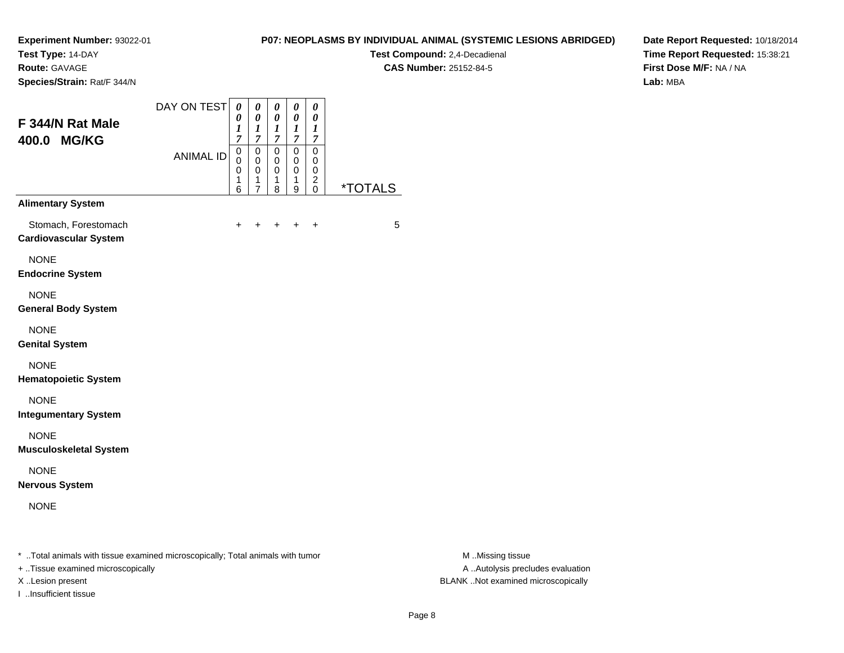**Test Type:** 14-DAY

**Route:** GAVAGE

**Species/Strain:** Rat/F 344/N

## **P07: NEOPLASMS BY INDIVIDUAL ANIMAL (SYSTEMIC LESIONS ABRIDGED)**

**Test Compound:** 2,4-Decadienal **CAS Number:** 25152-84-5

**Date Report Requested:** 10/18/2014**Time Report Requested:** 15:38:21**First Dose M/F:** NA / NA**Lab:** MBA

| F 344/N Rat Male<br>400.0 MG/KG                      | DAY ON TEST      | $\boldsymbol{\theta}$<br>0<br>1<br>7 | 0<br>0<br>1<br>7                                       | 0<br>0<br>1<br>7                          | 0<br>0<br>1<br>7      | 0<br>0<br>1<br>7                                             |                       |
|------------------------------------------------------|------------------|--------------------------------------|--------------------------------------------------------|-------------------------------------------|-----------------------|--------------------------------------------------------------|-----------------------|
|                                                      | <b>ANIMAL ID</b> | 0<br>0<br>0<br>1<br>6                | $\mathbf 0$<br>$\mathbf 0$<br>0<br>1<br>$\overline{7}$ | $\mathbf 0$<br>$\mathbf 0$<br>0<br>1<br>8 | 0<br>0<br>0<br>1<br>9 | $\mathbf 0$<br>0<br>0<br>$\overline{\mathbf{c}}$<br>$\Omega$ | <i><b>*TOTALS</b></i> |
| <b>Alimentary System</b>                             |                  |                                      |                                                        |                                           |                       |                                                              |                       |
| Stomach, Forestomach<br><b>Cardiovascular System</b> |                  | $\ddot{}$                            | +                                                      | $\ddot{}$                                 | $\ddot{}$             | $\ddot{}$                                                    | 5                     |
| <b>NONE</b><br><b>Endocrine System</b>               |                  |                                      |                                                        |                                           |                       |                                                              |                       |
| <b>NONE</b><br><b>General Body System</b>            |                  |                                      |                                                        |                                           |                       |                                                              |                       |
| <b>NONE</b><br><b>Genital System</b>                 |                  |                                      |                                                        |                                           |                       |                                                              |                       |
| <b>NONE</b><br><b>Hematopoietic System</b>           |                  |                                      |                                                        |                                           |                       |                                                              |                       |
| <b>NONE</b><br><b>Integumentary System</b>           |                  |                                      |                                                        |                                           |                       |                                                              |                       |
| <b>NONE</b><br><b>Musculoskeletal System</b>         |                  |                                      |                                                        |                                           |                       |                                                              |                       |
| <b>NONE</b><br><b>Nervous System</b>                 |                  |                                      |                                                        |                                           |                       |                                                              |                       |
| <b>NONE</b>                                          |                  |                                      |                                                        |                                           |                       |                                                              |                       |

\* ..Total animals with tissue examined microscopically; Total animals with tumor **M** . Missing tissue M ..Missing tissue

+ ..Tissue examined microscopically

I ..Insufficient tissue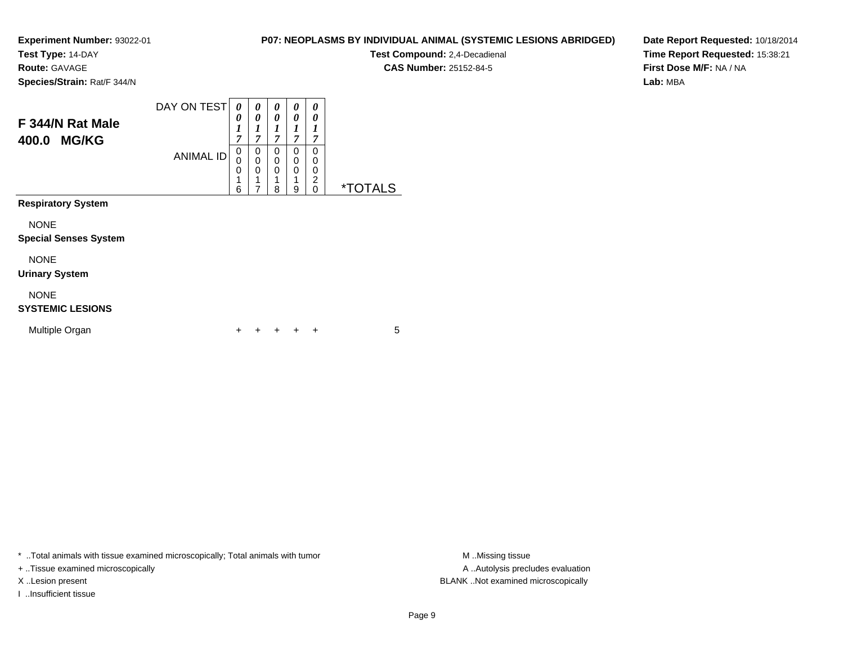**Test Type:** 14-DAY

**Route:** GAVAGE

**Species/Strain:** Rat/F 344/N

#### DAY ON TEST**F 344/N Rat Male400.0 MG/KG**ANIMAL ID*0 0 1 7*0<br>0<br>0<br>1 6*0 0 1 7*0<br>0<br>0<br>1 7*0 0 1 7* 0 0 0 1 8*0 0 1 7* 0 0 0 1 9*0 0 1 7* 00<br>0<br>0<br>0<br>0 0 \*TOTALS**Respiratory System**

NONE

#### **Special Senses System**

NONE

#### **Urinary System**

NONE

#### **SYSTEMIC LESIONS**

| Multiple Organ |  |  | + + + + + |  |  |  |  |
|----------------|--|--|-----------|--|--|--|--|
|----------------|--|--|-----------|--|--|--|--|

\* ..Total animals with tissue examined microscopically; Total animals with tumor **M** ..Missing tissue M ..Missing tissue

+ ..Tissue examined microscopically

I ..Insufficient tissue

**P07: NEOPLASMS BY INDIVIDUAL ANIMAL (SYSTEMIC LESIONS ABRIDGED)**

**Test Compound:** 2,4-Decadienal **CAS Number:** 25152-84-5

**Date Report Requested:** 10/18/2014**Time Report Requested:** 15:38:21**First Dose M/F:** NA / NA**Lab:** MBA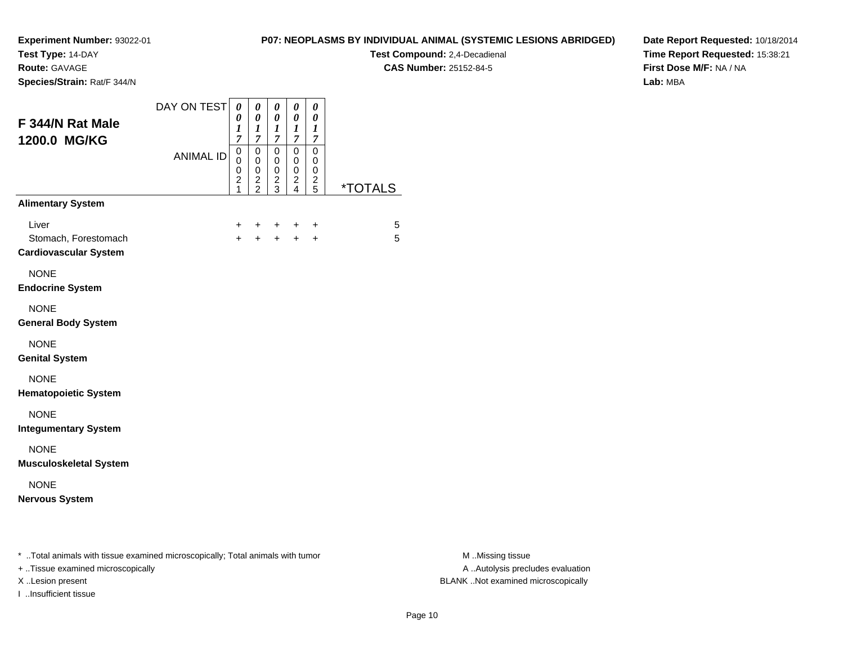**Test Type:** 14-DAY

**Route:** GAVAGE

**Species/Strain:** Rat/F 344/N

## **P07: NEOPLASMS BY INDIVIDUAL ANIMAL (SYSTEMIC LESIONS ABRIDGED)**

**Test Compound:** 2,4-Decadienal **CAS Number:** 25152-84-5

**Date Report Requested:** 10/18/2014**Time Report Requested:** 15:38:21**First Dose M/F:** NA / NA**Lab:** MBA

| F 344/N Rat Male<br>1200.0 MG/KG                                               | DAY ON TEST      | 0<br>$\boldsymbol{\theta}$<br>1<br>$\overline{7}$ | 0<br>$\boldsymbol{\theta}$<br>1<br>$\overline{7}$ | 0<br>$\boldsymbol{\theta}$<br>1<br>$\overline{7}$ | 0<br>0<br>1<br>$\overline{7}$                                      | 0<br>0<br>$\boldsymbol{l}$<br>$\overline{7}$ |                       |
|--------------------------------------------------------------------------------|------------------|---------------------------------------------------|---------------------------------------------------|---------------------------------------------------|--------------------------------------------------------------------|----------------------------------------------|-----------------------|
|                                                                                | <b>ANIMAL ID</b> | 0<br>0<br>0<br>$\overline{c}$<br>1                | $\pmb{0}$<br>0<br>$\pmb{0}$<br>$\frac{2}{2}$      | 0<br>0<br>0<br>$\frac{2}{3}$                      | $\mathbf 0$<br>0<br>0<br>$\overline{\mathbf{c}}$<br>$\overline{4}$ | $\mathbf 0$<br>0<br>0<br>$\frac{2}{5}$       | <i><b>*TOTALS</b></i> |
| <b>Alimentary System</b>                                                       |                  |                                                   |                                                   |                                                   |                                                                    |                                              |                       |
| Liver<br>Stomach, Forestomach<br><b>Cardiovascular System</b>                  |                  | $\ddot{}$<br>$+$                                  | $\pm$<br>$+$                                      | $\ddot{}$                                         | $\ddot{}$<br>$+$ $+$                                               | +<br>$\ddot{}$                               | 5<br>5                |
| <b>NONE</b><br><b>Endocrine System</b>                                         |                  |                                                   |                                                   |                                                   |                                                                    |                                              |                       |
| <b>NONE</b><br><b>General Body System</b>                                      |                  |                                                   |                                                   |                                                   |                                                                    |                                              |                       |
| <b>NONE</b><br><b>Genital System</b>                                           |                  |                                                   |                                                   |                                                   |                                                                    |                                              |                       |
| <b>NONE</b><br><b>Hematopoietic System</b>                                     |                  |                                                   |                                                   |                                                   |                                                                    |                                              |                       |
| <b>NONE</b><br><b>Integumentary System</b>                                     |                  |                                                   |                                                   |                                                   |                                                                    |                                              |                       |
| <b>NONE</b><br><b>Musculoskeletal System</b>                                   |                  |                                                   |                                                   |                                                   |                                                                    |                                              |                       |
| <b>NONE</b><br><b>Nervous System</b>                                           |                  |                                                   |                                                   |                                                   |                                                                    |                                              |                       |
| * Total animals with tissue examined microscopically; Total animals with tumor |                  |                                                   |                                                   |                                                   |                                                                    |                                              |                       |

+ ..Tissue examined microscopically

I ..Insufficient tissue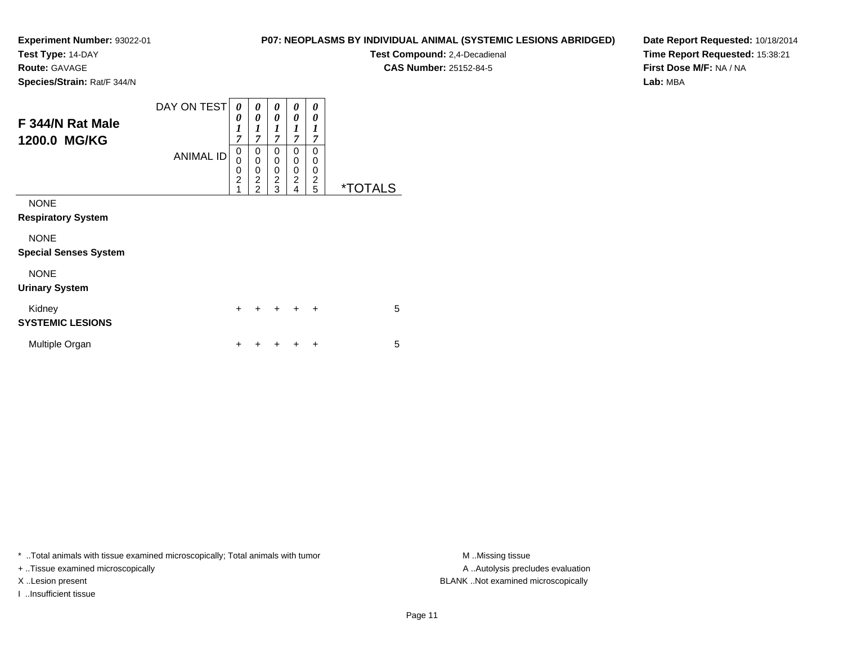**Test Type:** 14-DAY

**Route:** GAVAGE

**Species/Strain:** Rat/F 344/N

# **P07: NEOPLASMS BY INDIVIDUAL ANIMAL (SYSTEMIC LESIONS ABRIDGED)**

**Test Compound:** 2,4-Decadienal **CAS Number:** 25152-84-5

**Date Report Requested:** 10/18/2014**Time Report Requested:** 15:38:21**First Dose M/F:** NA / NA**Lab:** MBA

| F 344/N Rat Male<br>1200.0 MG/KG            | DAY ON TEST<br><b>ANIMAL ID</b> | 0<br>0<br>$\boldsymbol{l}$<br>7<br>0<br>$\mathbf 0$<br>$\mathbf 0$<br>$\overline{2}$<br>1 | 0<br>$\boldsymbol{\theta}$<br>1<br>$\overline{7}$<br>0<br>0<br>0<br>$\overline{2}$<br>$\overline{2}$ | 0<br>0<br>$\boldsymbol{l}$<br>7<br>0<br>0<br>0<br>$\overline{2}$<br>3 | 0<br>0<br>1<br>$\overline{7}$<br>0<br>0<br>0<br>$\overline{c}$<br>4 | 0<br>0<br>1<br>7<br>0<br>0<br>0<br>$\overline{c}$<br>5 | <i><b>*TOTALS</b></i> |
|---------------------------------------------|---------------------------------|-------------------------------------------------------------------------------------------|------------------------------------------------------------------------------------------------------|-----------------------------------------------------------------------|---------------------------------------------------------------------|--------------------------------------------------------|-----------------------|
| <b>NONE</b><br><b>Respiratory System</b>    |                                 |                                                                                           |                                                                                                      |                                                                       |                                                                     |                                                        |                       |
| <b>NONE</b><br><b>Special Senses System</b> |                                 |                                                                                           |                                                                                                      |                                                                       |                                                                     |                                                        |                       |
| <b>NONE</b><br><b>Urinary System</b>        |                                 |                                                                                           |                                                                                                      |                                                                       |                                                                     |                                                        |                       |
| Kidney<br><b>SYSTEMIC LESIONS</b>           |                                 | $\ddot{}$                                                                                 |                                                                                                      | $\div$                                                                | $\ddot{}$                                                           | $\ddot{}$                                              | 5                     |
| Multiple Organ                              |                                 | +                                                                                         |                                                                                                      |                                                                       |                                                                     | ÷                                                      | 5                     |

\* ..Total animals with tissue examined microscopically; Total animals with tumor **M** . Missing tissue M ..Missing tissue

+ ..Tissue examined microscopically

I ..Insufficient tissue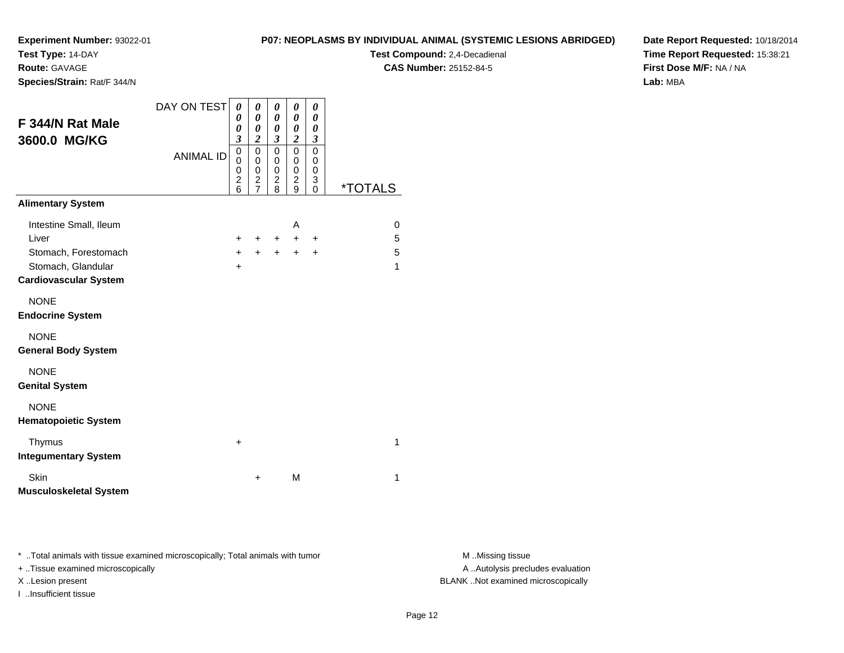**Test Type:** 14-DAY

**Route:** GAVAGE

**Species/Strain:** Rat/F 344/N

#### **P07: NEOPLASMS BY INDIVIDUAL ANIMAL (SYSTEMIC LESIONS ABRIDGED)**

**Test Compound:** 2,4-Decadienal **CAS Number:** 25152-84-5

**Date Report Requested:** 10/18/2014**Time Report Requested:** 15:38:21**First Dose M/F:** NA / NA**Lab:** MBA

| F 344/N Rat Male<br>3600.0 MG/KG           | DAY ON TEST<br><b>ANIMAL ID</b> | 0<br>0<br>0<br>$\overline{\mathbf{3}}$<br>$\mathbf 0$<br>0<br>0<br>$\overline{c}$<br>6 | 0<br>$\boldsymbol{\theta}$<br>$\boldsymbol{\theta}$<br>$\overline{2}$<br>$\mathbf 0$<br>$\mathbf 0$<br>$\mathbf 0$<br>$\frac{2}{7}$ | 0<br>$\boldsymbol{\theta}$<br>0<br>$\overline{\mathbf{3}}$<br>$\mathbf 0$<br>0<br>0<br>$\overline{c}$<br>8 | 0<br>0<br>0<br>$\overline{2}$<br>0<br>0<br>0<br>$\overline{c}$<br>9 | 0<br>0<br>0<br>3<br>$\Omega$<br>0<br>0<br>3<br>$\Omega$ | <i><b>*TOTALS</b></i> |
|--------------------------------------------|---------------------------------|----------------------------------------------------------------------------------------|-------------------------------------------------------------------------------------------------------------------------------------|------------------------------------------------------------------------------------------------------------|---------------------------------------------------------------------|---------------------------------------------------------|-----------------------|
| <b>Alimentary System</b>                   |                                 |                                                                                        |                                                                                                                                     |                                                                                                            |                                                                     |                                                         |                       |
| Intestine Small, Ileum                     |                                 |                                                                                        |                                                                                                                                     |                                                                                                            | A                                                                   |                                                         | 0                     |
| Liver                                      |                                 | $\ddot{}$                                                                              | +                                                                                                                                   | $\ddot{}$                                                                                                  | $+$                                                                 | $\ddot{}$                                               | 5                     |
| Stomach, Forestomach                       |                                 | $+$                                                                                    | $+$                                                                                                                                 | $+$                                                                                                        | $+$                                                                 | $\ddot{}$                                               | 5                     |
| Stomach, Glandular                         |                                 | +                                                                                      |                                                                                                                                     |                                                                                                            |                                                                     |                                                         | 1                     |
| <b>Cardiovascular System</b>               |                                 |                                                                                        |                                                                                                                                     |                                                                                                            |                                                                     |                                                         |                       |
| <b>NONE</b><br><b>Endocrine System</b>     |                                 |                                                                                        |                                                                                                                                     |                                                                                                            |                                                                     |                                                         |                       |
| <b>NONE</b><br><b>General Body System</b>  |                                 |                                                                                        |                                                                                                                                     |                                                                                                            |                                                                     |                                                         |                       |
| <b>NONE</b><br><b>Genital System</b>       |                                 |                                                                                        |                                                                                                                                     |                                                                                                            |                                                                     |                                                         |                       |
| <b>NONE</b><br><b>Hematopoietic System</b> |                                 |                                                                                        |                                                                                                                                     |                                                                                                            |                                                                     |                                                         |                       |
| Thymus<br><b>Integumentary System</b>      |                                 | $\ddot{}$                                                                              |                                                                                                                                     |                                                                                                            |                                                                     |                                                         | 1                     |
| Skin<br><b>Musculoskeletal System</b>      |                                 |                                                                                        | +                                                                                                                                   |                                                                                                            | M                                                                   |                                                         | 1                     |

\* ..Total animals with tissue examined microscopically; Total animals with tumor **M** . Missing tissue M ..Missing tissue

+ ..Tissue examined microscopically

I ..Insufficient tissue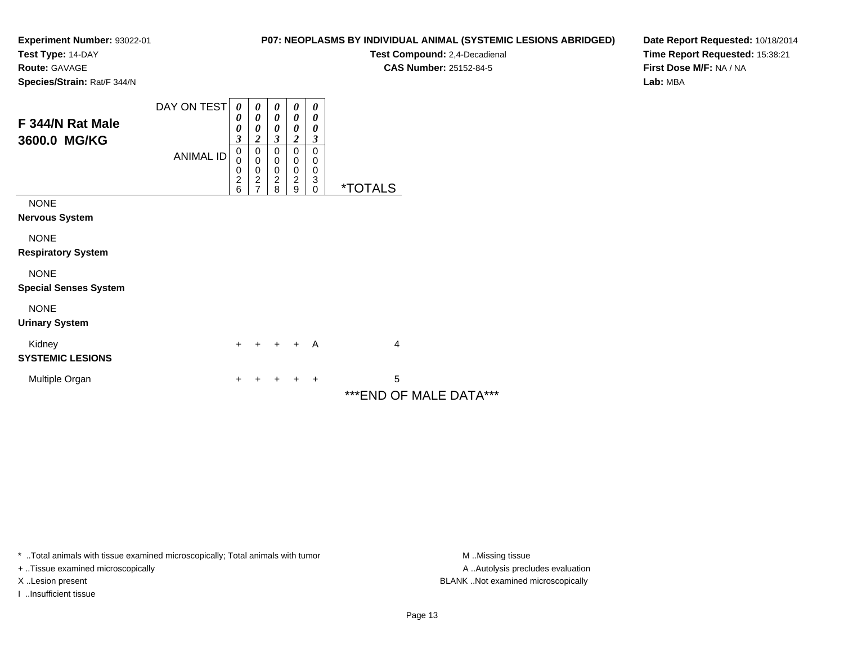**Test Type:** 14-DAY

**Route:** GAVAGE

**Species/Strain:** Rat/F 344/N

## **P07: NEOPLASMS BY INDIVIDUAL ANIMAL (SYSTEMIC LESIONS ABRIDGED)**

**Test Compound:** 2,4-Decadienal **CAS Number:** 25152-84-5

**Date Report Requested:** 10/18/2014**Time Report Requested:** 15:38:21**First Dose M/F:** NA / NA**Lab:** MBA

|                                             | DAY ON TEST | 0<br>0                                                         | 0<br>0                                               | 0<br>0                               | 0<br>0                                      | 0<br>0                          |                             |
|---------------------------------------------|-------------|----------------------------------------------------------------|------------------------------------------------------|--------------------------------------|---------------------------------------------|---------------------------------|-----------------------------|
| F 344/N Rat Male<br>3600.0 MG/KG            |             | 0<br>3                                                         | 0<br>2                                               | 0<br>$\boldsymbol{\beta}$            | 0<br>2                                      | 0<br>$\boldsymbol{\beta}$       |                             |
|                                             | ANIMAL ID   | 0<br>$\mathbf 0$<br>$\begin{array}{c} 0 \\ 2 \\ 6 \end{array}$ | $\pmb{0}$<br>$\pmb{0}$<br>$\pmb{0}$<br>$\frac{2}{7}$ | 0<br>0<br>$\pmb{0}$<br>$\frac{2}{8}$ | 0<br>0<br>0<br>$\overline{\mathbf{c}}$<br>9 | $\mathbf 0$<br>0<br>0<br>3<br>0 | <i><b>*TOTALS</b></i>       |
| <b>NONE</b><br>Nervous System               |             |                                                                |                                                      |                                      |                                             |                                 |                             |
| <b>NONE</b><br><b>Respiratory System</b>    |             |                                                                |                                                      |                                      |                                             |                                 |                             |
| <b>NONE</b><br><b>Special Senses System</b> |             |                                                                |                                                      |                                      |                                             |                                 |                             |
| <b>NONE</b><br><b>Urinary System</b>        |             |                                                                |                                                      |                                      |                                             |                                 |                             |
| Kidney<br><b>SYSTEMIC LESIONS</b>           |             | $\ddot{}$                                                      | ÷                                                    | $+$                                  | $+$                                         | A                               | $\overline{4}$              |
| Multiple Organ                              |             | +                                                              |                                                      |                                      | ٠                                           | $\ddot{}$                       | 5<br>***END OF MALE DATA*** |

\* ..Total animals with tissue examined microscopically; Total animals with tumor **M** . Missing tissue M ..Missing tissue

+ ..Tissue examined microscopically

I ..Insufficient tissue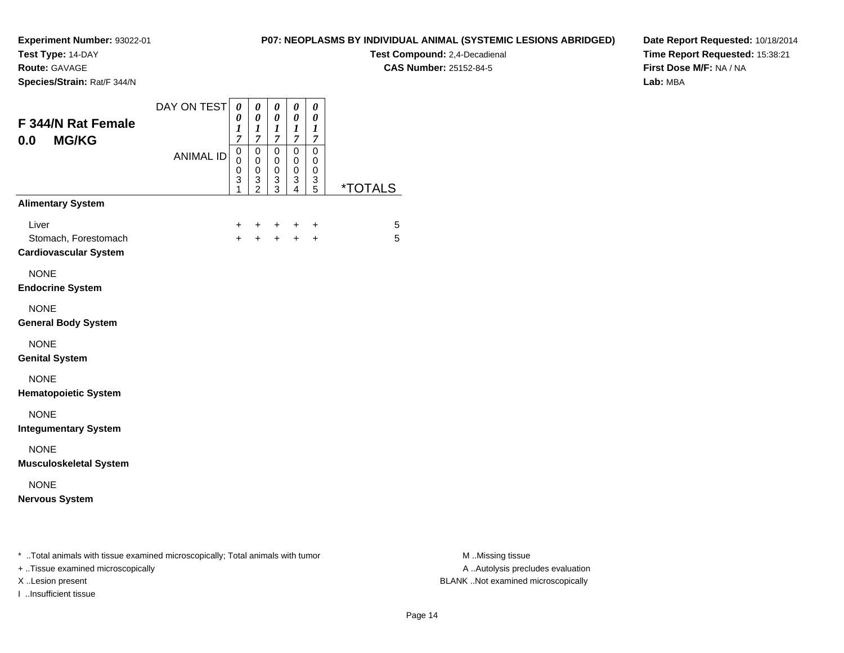**Test Type:** 14-DAY

**Route:** GAVAGE

**Species/Strain:** Rat/F 344/N

## **P07: NEOPLASMS BY INDIVIDUAL ANIMAL (SYSTEMIC LESIONS ABRIDGED)**

**Test Compound:** 2,4-Decadienal **CAS Number:** 25152-84-5

**Date Report Requested:** 10/18/2014**Time Report Requested:** 15:38:21**First Dose M/F:** NA / NA**Lab:** MBA

| F 344/N Rat Female<br><b>MG/KG</b><br>0.0                     | DAY ON TEST      | 0<br>0<br>$\boldsymbol{l}$<br>7                | 0<br>$\pmb{\theta}$<br>$\boldsymbol{l}$<br>$\boldsymbol{7}$ | 0<br>$\pmb{\theta}$<br>$\boldsymbol{l}$<br>$\boldsymbol{7}$ | 0<br>0<br>1<br>$\overline{7}$   | 0<br>$\pmb{\theta}$<br>$\boldsymbol{l}$<br>$\overline{7}$ |                       |
|---------------------------------------------------------------|------------------|------------------------------------------------|-------------------------------------------------------------|-------------------------------------------------------------|---------------------------------|-----------------------------------------------------------|-----------------------|
|                                                               | <b>ANIMAL ID</b> | $\mathbf 0$<br>0<br>$\boldsymbol{0}$<br>3<br>1 | $\mathbf 0$<br>0<br>0<br>$\frac{3}{2}$                      | 0<br>0<br>$\mathbf 0$<br>$\frac{3}{3}$                      | $\mathbf 0$<br>0<br>0<br>3<br>4 | $\Omega$<br>0<br>0<br>$\frac{3}{5}$                       | <i><b>*TOTALS</b></i> |
| <b>Alimentary System</b>                                      |                  |                                                |                                                             |                                                             |                                 |                                                           |                       |
| Liver<br>Stomach, Forestomach<br><b>Cardiovascular System</b> |                  | +<br>$\ddot{}$                                 | $\pm$<br>$+$                                                | $\pm$<br>$+$ $-$                                            | ÷<br>$+$                        | $\ddot{}$<br>$\ddot{}$                                    | 5<br>5                |
| <b>NONE</b><br><b>Endocrine System</b>                        |                  |                                                |                                                             |                                                             |                                 |                                                           |                       |
| <b>NONE</b><br><b>General Body System</b>                     |                  |                                                |                                                             |                                                             |                                 |                                                           |                       |
| <b>NONE</b><br><b>Genital System</b>                          |                  |                                                |                                                             |                                                             |                                 |                                                           |                       |
| <b>NONE</b><br><b>Hematopoietic System</b>                    |                  |                                                |                                                             |                                                             |                                 |                                                           |                       |
| <b>NONE</b><br><b>Integumentary System</b>                    |                  |                                                |                                                             |                                                             |                                 |                                                           |                       |
| <b>NONE</b><br><b>Musculoskeletal System</b>                  |                  |                                                |                                                             |                                                             |                                 |                                                           |                       |
| <b>NONE</b><br><b>Nervous System</b>                          |                  |                                                |                                                             |                                                             |                                 |                                                           |                       |

+ ..Tissue examined microscopically

I ..Insufficient tissue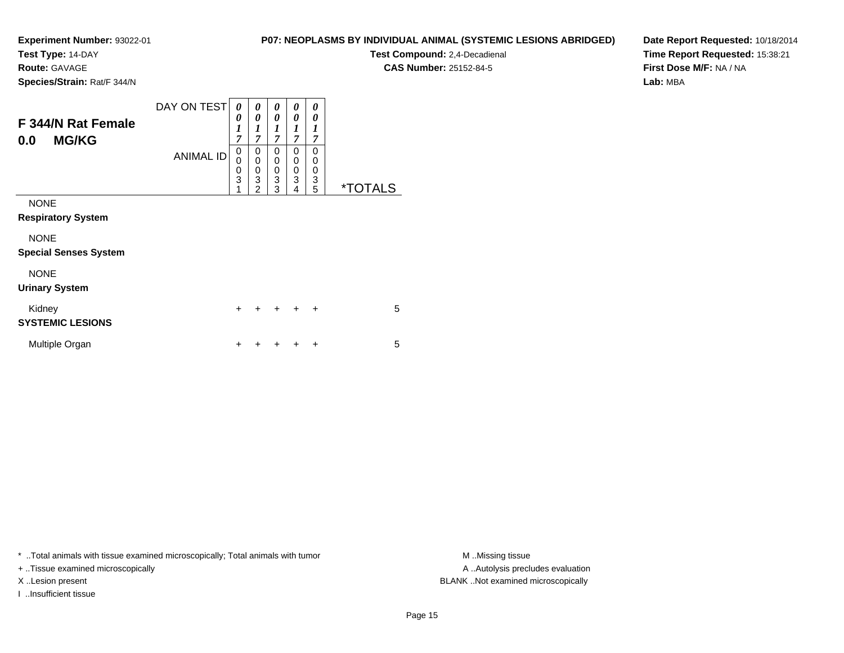**Test Type:** 14-DAY

**Route:** GAVAGE

**Species/Strain:** Rat/F 344/N

| P07: NEOPLASMS BY INDIVIDUAL ANIMAL (SYSTEMIC LESIONS ABRIDGED) |  |
|-----------------------------------------------------------------|--|
|-----------------------------------------------------------------|--|

**Test Compound:** 2,4-Decadienal

**CAS Number:** 25152-84-5

**Date Report Requested:** 10/18/2014**Time Report Requested:** 15:38:21**First Dose M/F:** NA / NA**Lab:** MBA

| <b>F344/N Rat Female</b><br><b>MG/KG</b><br>0.0 | DAY ON TEST<br><b>ANIMAL ID</b> | 0<br>0<br>$\boldsymbol{l}$<br>$\overline{7}$<br>0<br>0<br>$\frac{0}{3}$ | 0<br>0<br>1<br>$\overline{7}$<br>0<br>$\mathbf 0$<br>0<br>$\overline{3}$ | 0<br>0<br>$\boldsymbol{l}$<br>$\overline{7}$<br>0<br>0<br>$\pmb{0}$<br>3 | 0<br>0<br>1<br>$\overline{7}$<br>0<br>0<br>0<br>3 | 0<br>0<br>1<br>7<br>$\Omega$<br>0<br>0<br>3 |                       |
|-------------------------------------------------|---------------------------------|-------------------------------------------------------------------------|--------------------------------------------------------------------------|--------------------------------------------------------------------------|---------------------------------------------------|---------------------------------------------|-----------------------|
| <b>NONE</b>                                     |                                 | 1                                                                       | $\overline{2}$                                                           | 3                                                                        | $\overline{4}$                                    | 5                                           | <i><b>*TOTALS</b></i> |
| <b>Respiratory System</b>                       |                                 |                                                                         |                                                                          |                                                                          |                                                   |                                             |                       |
| <b>NONE</b><br><b>Special Senses System</b>     |                                 |                                                                         |                                                                          |                                                                          |                                                   |                                             |                       |
| <b>NONE</b><br><b>Urinary System</b>            |                                 |                                                                         |                                                                          |                                                                          |                                                   |                                             |                       |
| Kidney<br><b>SYSTEMIC LESIONS</b>               |                                 | $\ddot{}$                                                               | +                                                                        | $\ddot{}$                                                                | $\ddot{}$                                         | $\ddot{}$                                   | 5                     |
| Multiple Organ                                  |                                 | ٠                                                                       |                                                                          |                                                                          |                                                   | ÷                                           | 5                     |

\* ..Total animals with tissue examined microscopically; Total animals with tumor **M** ..Missing tissue M ..Missing tissue

+ ..Tissue examined microscopically

I ..Insufficient tissue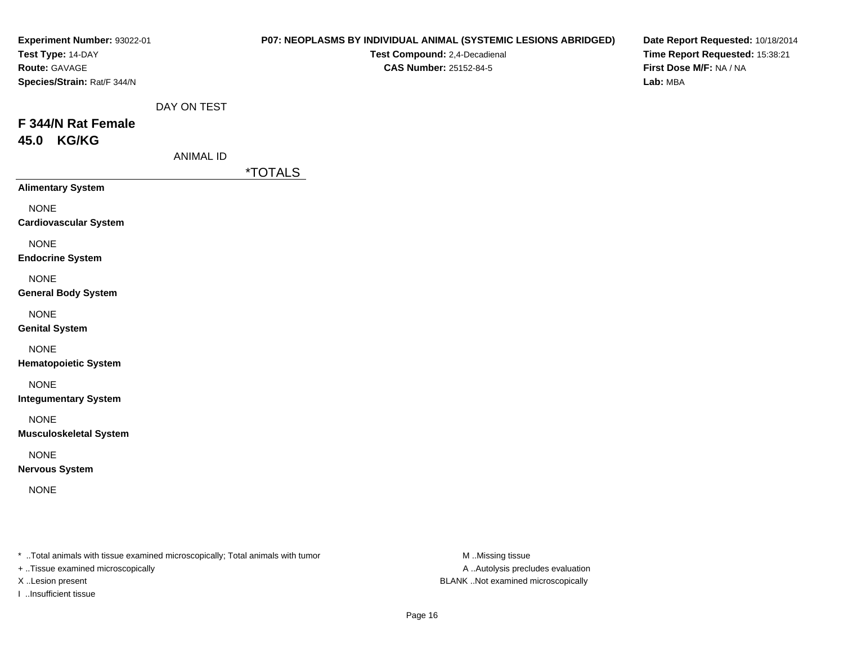| Experiment Number: 93022-01<br>Test Type: 14-DAY<br>Route: GAVAGE<br>Species/Strain: Rat/F 344/N |                          | P07: NEOPLASMS BY INDIVIDUAL ANIMAL (SYSTEMIC LESIONS ABRIDGED)<br>Test Compound: 2,4-Decadienal<br><b>CAS Number: 25152-84-5</b> | Date Report Requested: 10/18/2014<br>Time Report Requested: 15:38:21<br>First Dose M/F: NA / NA<br>Lab: MBA |
|--------------------------------------------------------------------------------------------------|--------------------------|-----------------------------------------------------------------------------------------------------------------------------------|-------------------------------------------------------------------------------------------------------------|
| F 344/N Rat Female<br>45.0 KG/KG                                                                 | DAY ON TEST<br>ANIMAL ID | <i><b>*TOTALS</b></i>                                                                                                             |                                                                                                             |
| <b>Alimentary System</b>                                                                         |                          |                                                                                                                                   |                                                                                                             |
| <b>NONE</b><br><b>Cardiovascular System</b>                                                      |                          |                                                                                                                                   |                                                                                                             |
| <b>NONE</b><br><b>Endocrine System</b>                                                           |                          |                                                                                                                                   |                                                                                                             |
| <b>NONE</b><br><b>General Body System</b>                                                        |                          |                                                                                                                                   |                                                                                                             |
| <b>NONE</b><br><b>Genital System</b>                                                             |                          |                                                                                                                                   |                                                                                                             |
| <b>NONE</b><br><b>Hematopoietic System</b>                                                       |                          |                                                                                                                                   |                                                                                                             |
| <b>NONE</b><br><b>Integumentary System</b>                                                       |                          |                                                                                                                                   |                                                                                                             |
| <b>NONE</b><br><b>Musculoskeletal System</b>                                                     |                          |                                                                                                                                   |                                                                                                             |
| <b>NONE</b><br><b>Nervous System</b>                                                             |                          |                                                                                                                                   |                                                                                                             |
| <b>NONE</b>                                                                                      |                          |                                                                                                                                   |                                                                                                             |
|                                                                                                  |                          |                                                                                                                                   |                                                                                                             |
|                                                                                                  |                          |                                                                                                                                   |                                                                                                             |

\* ..Total animals with tissue examined microscopically; Total animals with tumor M..Missing tissue M

+ ..Tissue examined microscopically

I ..Insufficient tissue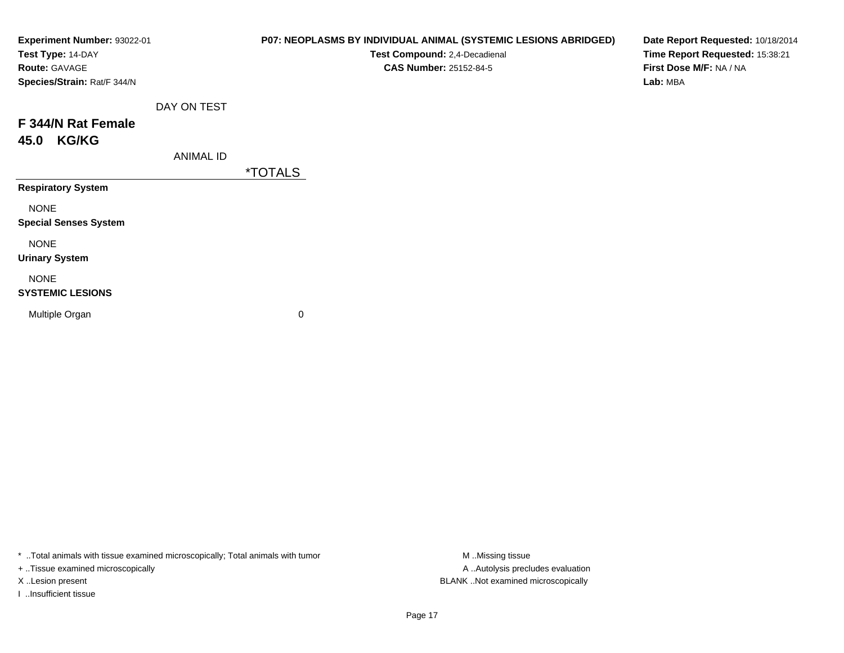| Experiment Number: 93022-01<br>Test Type: 14-DAY<br>Route: GAVAGE<br>Species/Strain: Rat/F 344/N |                  | P07: NEOPLASMS BY INDIVIDUAL ANIMAL (SYSTEMIC LESIONS ABRIDGED)<br>Test Compound: 2,4-Decadienal<br><b>CAS Number: 25152-84-5</b> | Date Report Requested: 10/18/2014<br>Time Report Requested: 15:38:21<br>First Dose M/F: NA / NA<br>Lab: MBA |
|--------------------------------------------------------------------------------------------------|------------------|-----------------------------------------------------------------------------------------------------------------------------------|-------------------------------------------------------------------------------------------------------------|
| F 344/N Rat Female<br><b>KG/KG</b><br>45.0                                                       | DAY ON TEST      |                                                                                                                                   |                                                                                                             |
| <b>Respiratory System</b>                                                                        | <b>ANIMAL ID</b> | <i><b>*TOTALS</b></i>                                                                                                             |                                                                                                             |
| <b>NONE</b><br><b>Special Senses System</b>                                                      |                  |                                                                                                                                   |                                                                                                             |
| <b>NONE</b><br><b>Urinary System</b>                                                             |                  |                                                                                                                                   |                                                                                                             |
| <b>NONE</b><br><b>SYSTEMIC LESIONS</b>                                                           |                  |                                                                                                                                   |                                                                                                             |
| Multiple Organ                                                                                   |                  | 0                                                                                                                                 |                                                                                                             |

\* ..Total animals with tissue examined microscopically; Total animals with tumor M..Missing tissue M ..Missing tissue

+ ..Tissue examined microscopically

I ..Insufficient tissue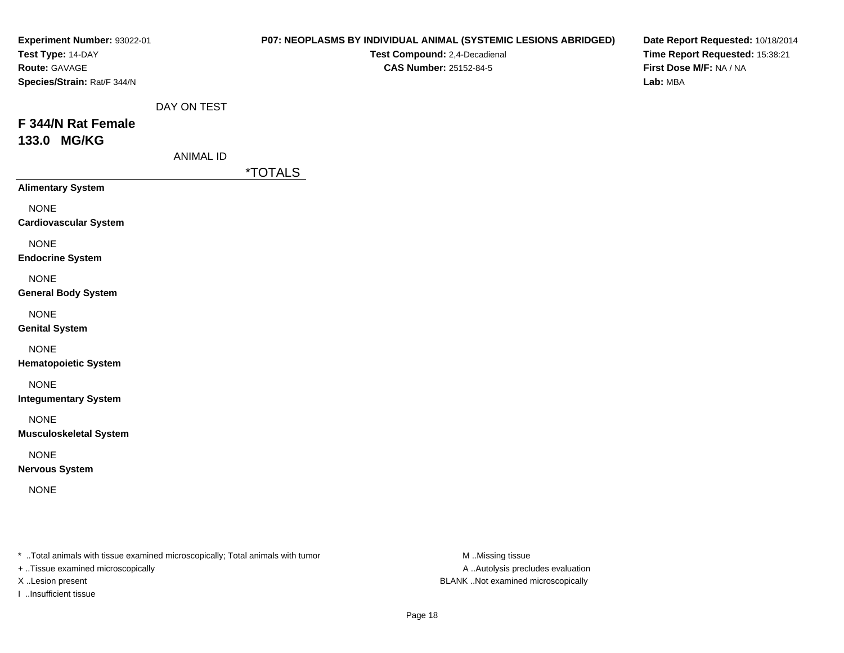| Experiment Number: 93022-01<br>Test Type: 14-DAY<br>Route: GAVAGE<br>Species/Strain: Rat/F 344/N |                          | P07: NEOPLASMS BY INDIVIDUAL ANIMAL (SYSTEMIC LESIONS ABRIDGED)<br>Test Compound: 2,4-Decadienal<br><b>CAS Number: 25152-84-5</b> | Date Report Requested: 10/18/2014<br>Time Report Requested: 15:38:21<br>First Dose M/F: NA / NA<br>Lab: MBA |
|--------------------------------------------------------------------------------------------------|--------------------------|-----------------------------------------------------------------------------------------------------------------------------------|-------------------------------------------------------------------------------------------------------------|
| F 344/N Rat Female<br>133.0 MG/KG                                                                | DAY ON TEST<br>ANIMAL ID |                                                                                                                                   |                                                                                                             |
| <b>Alimentary System</b>                                                                         |                          | <i><b>*TOTALS</b></i>                                                                                                             |                                                                                                             |
| <b>NONE</b><br><b>Cardiovascular System</b>                                                      |                          |                                                                                                                                   |                                                                                                             |
| <b>NONE</b><br><b>Endocrine System</b>                                                           |                          |                                                                                                                                   |                                                                                                             |
| <b>NONE</b><br><b>General Body System</b>                                                        |                          |                                                                                                                                   |                                                                                                             |
| <b>NONE</b><br><b>Genital System</b>                                                             |                          |                                                                                                                                   |                                                                                                             |
| <b>NONE</b><br><b>Hematopoietic System</b>                                                       |                          |                                                                                                                                   |                                                                                                             |
| <b>NONE</b><br><b>Integumentary System</b>                                                       |                          |                                                                                                                                   |                                                                                                             |
| <b>NONE</b><br><b>Musculoskeletal System</b>                                                     |                          |                                                                                                                                   |                                                                                                             |
| <b>NONE</b><br><b>Nervous System</b>                                                             |                          |                                                                                                                                   |                                                                                                             |
| <b>NONE</b>                                                                                      |                          |                                                                                                                                   |                                                                                                             |
|                                                                                                  |                          |                                                                                                                                   |                                                                                                             |
|                                                                                                  |                          |                                                                                                                                   |                                                                                                             |

\* ..Total animals with tissue examined microscopically; Total animals with tumor M..Missing tissue M

+ ..Tissue examined microscopically

I ..Insufficient tissue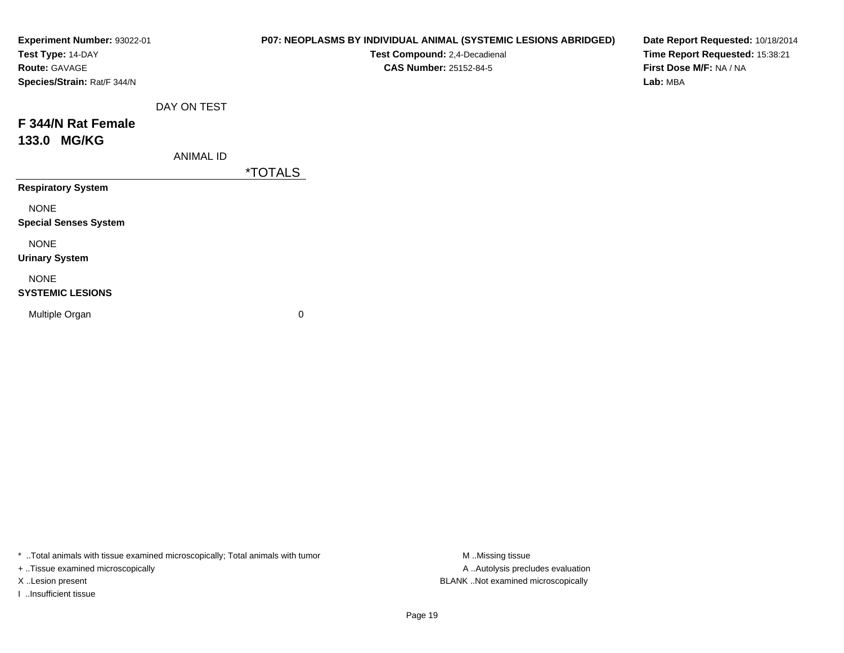| Experiment Number: 93022-01<br>Test Type: 14-DAY<br>Route: GAVAGE<br>Species/Strain: Rat/F 344/N |                  | P07: NEOPLASMS BY INDIVIDUAL ANIMAL (SYSTEMIC LESIONS ABRIDGED)<br>Test Compound: 2,4-Decadienal<br><b>CAS Number: 25152-84-5</b> | Date Report Requested: 10/18/2014<br>Time Report Requested: 15:38:21<br>First Dose M/F: NA / NA<br>Lab: MBA |
|--------------------------------------------------------------------------------------------------|------------------|-----------------------------------------------------------------------------------------------------------------------------------|-------------------------------------------------------------------------------------------------------------|
| F 344/N Rat Female<br>133.0 MG/KG                                                                | DAY ON TEST      |                                                                                                                                   |                                                                                                             |
|                                                                                                  | <b>ANIMAL ID</b> | <i><b>*TOTALS</b></i>                                                                                                             |                                                                                                             |
| <b>Respiratory System</b>                                                                        |                  |                                                                                                                                   |                                                                                                             |
| <b>NONE</b><br><b>Special Senses System</b>                                                      |                  |                                                                                                                                   |                                                                                                             |
| <b>NONE</b><br><b>Urinary System</b>                                                             |                  |                                                                                                                                   |                                                                                                             |
| <b>NONE</b><br><b>SYSTEMIC LESIONS</b>                                                           |                  |                                                                                                                                   |                                                                                                             |
| Multiple Organ                                                                                   |                  | 0                                                                                                                                 |                                                                                                             |

\* ..Total animals with tissue examined microscopically; Total animals with tumor M..Missing tissue M ..Missing tissue

+ ..Tissue examined microscopically

I ..Insufficient tissue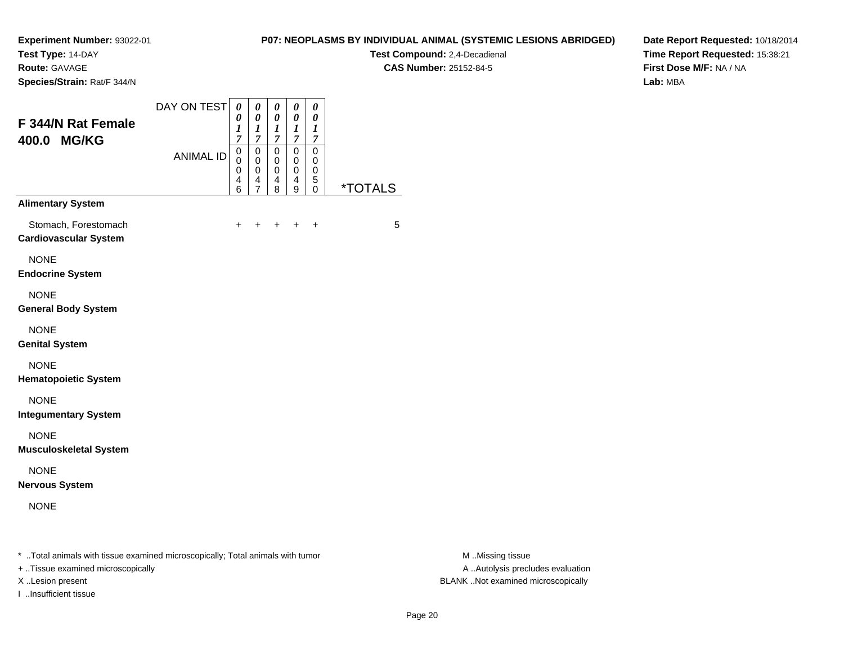**Test Type:** 14-DAY

**Route:** GAVAGE

**Species/Strain:** Rat/F 344/N

## **P07: NEOPLASMS BY INDIVIDUAL ANIMAL (SYSTEMIC LESIONS ABRIDGED)**

**Test Compound:** 2,4-Decadienal **CAS Number:** 25152-84-5

**Date Report Requested:** 10/18/2014**Time Report Requested:** 15:38:21**First Dose M/F:** NA / NA**Lab:** MBA

| F 344/N Rat Female<br>400.0 MG/KG                    | DAY ON TEST<br><b>ANIMAL ID</b> | 0<br>$\pmb{\theta}$<br>1<br>$\overline{7}$<br>$\mathbf 0$<br>0<br>0<br>4<br>6 | 0<br>0<br>1<br>$\overline{7}$<br>$\mathbf 0$<br>0<br>0<br>4<br>7 | 0<br>0<br>1<br>$\overline{7}$<br>$\mathbf 0$<br>0<br>0<br>4<br>8 | 0<br>$\pmb{\theta}$<br>1<br>$\overline{7}$<br>$\Omega$<br>0<br>0<br>4<br>9 | 0<br>0<br>1<br>$\overline{7}$<br>$\Omega$<br>0<br>0<br>5<br>0 | <i><b>*TOTALS</b></i> |
|------------------------------------------------------|---------------------------------|-------------------------------------------------------------------------------|------------------------------------------------------------------|------------------------------------------------------------------|----------------------------------------------------------------------------|---------------------------------------------------------------|-----------------------|
| <b>Alimentary System</b>                             |                                 |                                                                               |                                                                  |                                                                  |                                                                            |                                                               |                       |
| Stomach, Forestomach<br><b>Cardiovascular System</b> |                                 | +                                                                             | +                                                                | ÷                                                                | ÷                                                                          | ÷                                                             | 5                     |
| <b>NONE</b><br><b>Endocrine System</b>               |                                 |                                                                               |                                                                  |                                                                  |                                                                            |                                                               |                       |
| <b>NONE</b><br><b>General Body System</b>            |                                 |                                                                               |                                                                  |                                                                  |                                                                            |                                                               |                       |
| <b>NONE</b><br><b>Genital System</b>                 |                                 |                                                                               |                                                                  |                                                                  |                                                                            |                                                               |                       |
| <b>NONE</b><br><b>Hematopoietic System</b>           |                                 |                                                                               |                                                                  |                                                                  |                                                                            |                                                               |                       |
| <b>NONE</b><br><b>Integumentary System</b>           |                                 |                                                                               |                                                                  |                                                                  |                                                                            |                                                               |                       |
| <b>NONE</b><br><b>Musculoskeletal System</b>         |                                 |                                                                               |                                                                  |                                                                  |                                                                            |                                                               |                       |
| <b>NONE</b><br><b>Nervous System</b>                 |                                 |                                                                               |                                                                  |                                                                  |                                                                            |                                                               |                       |
| <b>NONE</b>                                          |                                 |                                                                               |                                                                  |                                                                  |                                                                            |                                                               |                       |

\* ..Total animals with tissue examined microscopically; Total animals with tumor **M** . Missing tissue M ..Missing tissue

+ ..Tissue examined microscopically

I ..Insufficient tissue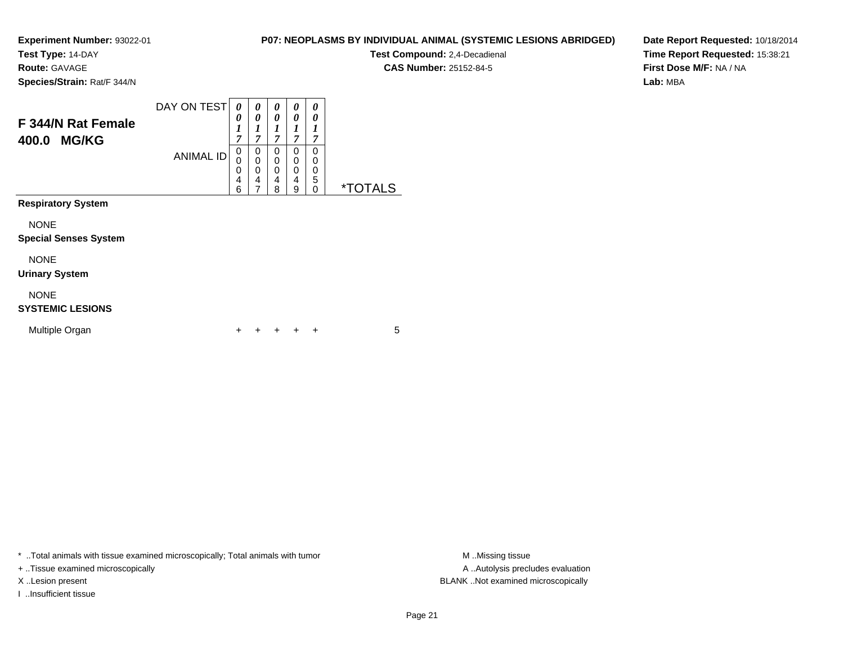**Test Type:** 14-DAY

**Route:** GAVAGE

**Species/Strain:** Rat/F 344/N

## **P07: NEOPLASMS BY INDIVIDUAL ANIMAL (SYSTEMIC LESIONS ABRIDGED)**

**Test Compound:** 2,4-Decadienal **CAS Number:** 25152-84-5

**Date Report Requested:** 10/18/2014**Time Report Requested:** 15:38:21**First Dose M/F:** NA / NA**Lab:** MBA

| F 344/N Rat Female<br><b>MG/KG</b><br>400.0 | DAY ON TEST<br><b>ANIMAL ID</b> | 0<br>0<br>$\boldsymbol{l}$<br>$\overline{7}$<br>0<br>0<br>0<br>$\overline{4}$<br>6 | 0<br>0<br>1<br>$\overline{7}$<br>0<br>$\mathbf 0$<br>0<br>4<br>7 | 0<br>0<br>7<br>0<br>0<br>0<br>4<br>8 | 0<br>0<br>1<br>7<br>0<br>0<br>0<br>4<br>9 | 0<br>0<br>1<br>7<br>0<br>0<br>0<br>5<br>0 | <i><b>*TOTALS</b></i> |
|---------------------------------------------|---------------------------------|------------------------------------------------------------------------------------|------------------------------------------------------------------|--------------------------------------|-------------------------------------------|-------------------------------------------|-----------------------|
| <b>Respiratory System</b>                   |                                 |                                                                                    |                                                                  |                                      |                                           |                                           |                       |
| <b>NONE</b><br><b>Special Senses System</b> |                                 |                                                                                    |                                                                  |                                      |                                           |                                           |                       |
| <b>NONE</b><br><b>Urinary System</b>        |                                 |                                                                                    |                                                                  |                                      |                                           |                                           |                       |
| <b>NONE</b><br><b>SYSTEMIC LESIONS</b>      |                                 |                                                                                    |                                                                  |                                      |                                           |                                           |                       |
| Multiple Organ                              |                                 | ٠                                                                                  | ٠                                                                |                                      |                                           | ÷                                         | 5                     |

\* ..Total animals with tissue examined microscopically; Total animals with tumor **M** . Missing tissue M ..Missing tissue

+ ..Tissue examined microscopically

I ..Insufficient tissue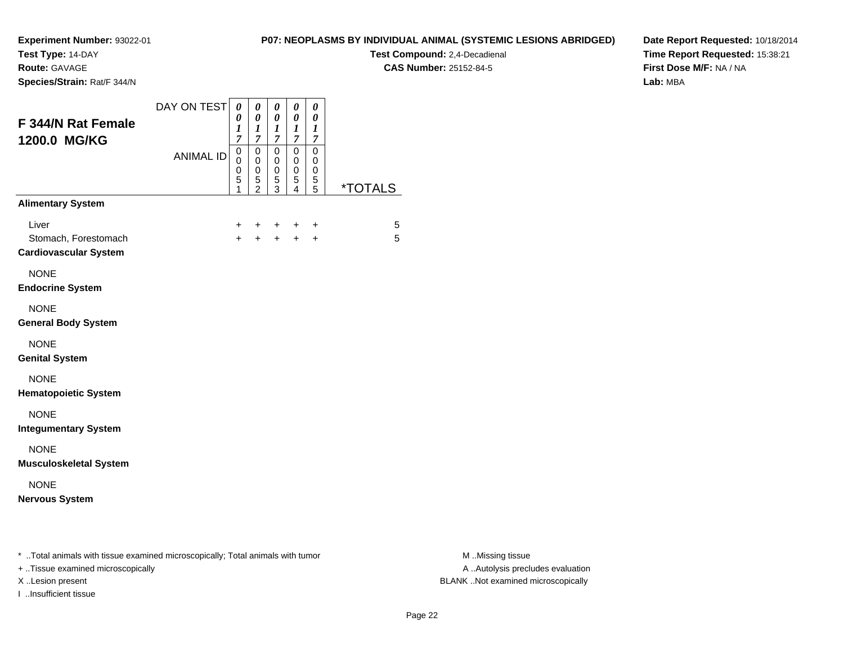**Test Type:** 14-DAY

**Route:** GAVAGE

**Species/Strain:** Rat/F 344/N

## **P07: NEOPLASMS BY INDIVIDUAL ANIMAL (SYSTEMIC LESIONS ABRIDGED)**

**Test Compound:** 2,4-Decadienal **CAS Number:** 25152-84-5

**Date Report Requested:** 10/18/2014**Time Report Requested:** 15:38:21**First Dose M/F:** NA / NA**Lab:** MBA

| <b>F 344/N Rat Female</b><br>1200.0 MG/KG                                      | DAY ON TEST      | $\boldsymbol{\theta}$<br>0<br>$\boldsymbol{l}$<br>$\overline{7}$ | 0<br>$\boldsymbol{\theta}$<br>$\boldsymbol{l}$<br>7 | 0<br>0<br>$\boldsymbol{l}$<br>$\overline{7}$ | 0<br>0<br>$\boldsymbol{l}$<br>$\boldsymbol{7}$         | $\boldsymbol{\theta}$<br>$\boldsymbol{\theta}$<br>$\boldsymbol{l}$<br>$\overline{7}$ |                       |
|--------------------------------------------------------------------------------|------------------|------------------------------------------------------------------|-----------------------------------------------------|----------------------------------------------|--------------------------------------------------------|--------------------------------------------------------------------------------------|-----------------------|
|                                                                                | <b>ANIMAL ID</b> | $\mathbf 0$<br>0<br>0<br>5<br>1                                  | $\mathbf 0$<br>0<br>0<br>$\frac{5}{2}$              | $\mathsf 0$<br>0<br>0<br>$\mathbf 5$<br>3    | $\mathbf 0$<br>0<br>$\mathbf 0$<br>5<br>$\overline{4}$ | $\mathbf 0$<br>0<br>0<br>5<br>5                                                      | <i><b>*TOTALS</b></i> |
| <b>Alimentary System</b>                                                       |                  |                                                                  |                                                     |                                              |                                                        |                                                                                      |                       |
| Liver<br>Stomach, Forestomach<br><b>Cardiovascular System</b>                  |                  | $\ddot{}$<br>$\ddot{}$                                           | $\ddot{}$<br>$+$                                    | $+$<br>$+$                                   | $\ddot{}$<br>$+$                                       | $\ddot{}$<br>$+$                                                                     | 5<br>5                |
| <b>NONE</b><br><b>Endocrine System</b>                                         |                  |                                                                  |                                                     |                                              |                                                        |                                                                                      |                       |
| <b>NONE</b><br><b>General Body System</b>                                      |                  |                                                                  |                                                     |                                              |                                                        |                                                                                      |                       |
| <b>NONE</b><br><b>Genital System</b>                                           |                  |                                                                  |                                                     |                                              |                                                        |                                                                                      |                       |
| <b>NONE</b><br><b>Hematopoietic System</b>                                     |                  |                                                                  |                                                     |                                              |                                                        |                                                                                      |                       |
| <b>NONE</b><br><b>Integumentary System</b>                                     |                  |                                                                  |                                                     |                                              |                                                        |                                                                                      |                       |
| <b>NONE</b><br><b>Musculoskeletal System</b>                                   |                  |                                                                  |                                                     |                                              |                                                        |                                                                                      |                       |
| <b>NONE</b><br><b>Nervous System</b>                                           |                  |                                                                  |                                                     |                                              |                                                        |                                                                                      |                       |
| * Total animals with tissue examined microscopically; Total animals with tumor |                  |                                                                  |                                                     |                                              |                                                        |                                                                                      |                       |

+ ..Tissue examined microscopically

I ..Insufficient tissue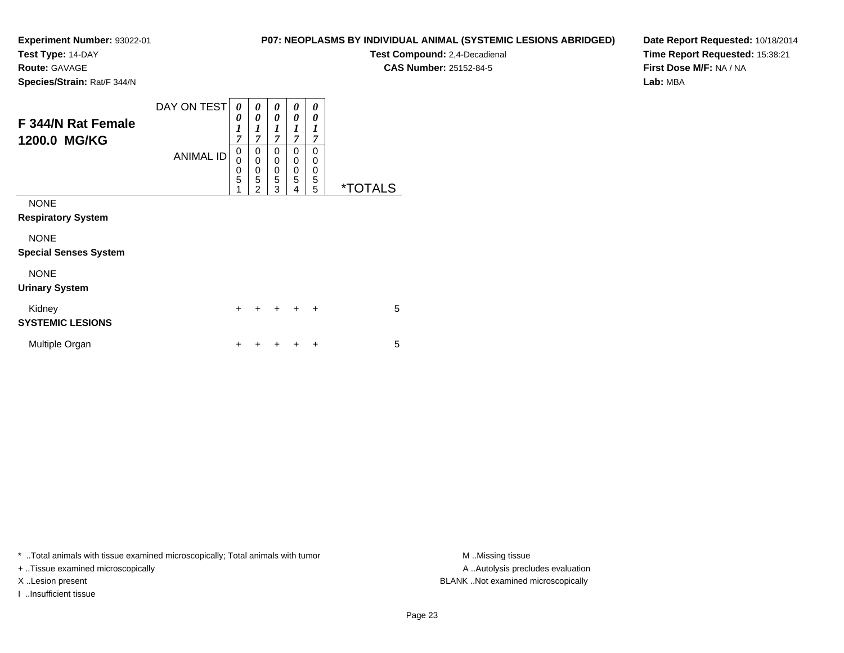**Test Type:** 14-DAY

**Route:** GAVAGE

**Species/Strain:** Rat/F 344/N

## **P07: NEOPLASMS BY INDIVIDUAL ANIMAL (SYSTEMIC LESIONS ABRIDGED)**

**Test Compound:** 2,4-Decadienal **CAS Number:** 25152-84-5

**Date Report Requested:** 10/18/2014**Time Report Requested:** 15:38:21**First Dose M/F:** NA / NA**Lab:** MBA

| <b>F344/N Rat Female</b><br>1200.0 MG/KG    | DAY ON TESTI<br><b>ANIMAL ID</b> | 0<br>0<br>$\boldsymbol{l}$<br>7<br>0<br>0<br>0<br>5<br>1 | 0<br>0<br>1<br>$\overline{7}$<br>0<br>$\mathbf 0$<br>0<br>5<br>$\overline{c}$ | 0<br>0<br>1<br>$\overline{7}$<br>0<br>0<br>0<br>$\overline{5}$<br>3 | 0<br>0<br>1<br>$\overline{7}$<br>0<br>0<br>0<br>5<br>4 | 0<br>0<br>1<br>7<br>0<br>0<br>0<br>5<br>5 | <i><b>*TOTALS</b></i> |
|---------------------------------------------|----------------------------------|----------------------------------------------------------|-------------------------------------------------------------------------------|---------------------------------------------------------------------|--------------------------------------------------------|-------------------------------------------|-----------------------|
| <b>NONE</b><br><b>Respiratory System</b>    |                                  |                                                          |                                                                               |                                                                     |                                                        |                                           |                       |
| <b>NONE</b><br><b>Special Senses System</b> |                                  |                                                          |                                                                               |                                                                     |                                                        |                                           |                       |
| <b>NONE</b><br><b>Urinary System</b>        |                                  |                                                          |                                                                               |                                                                     |                                                        |                                           |                       |
| Kidney<br><b>SYSTEMIC LESIONS</b>           |                                  | $\ddot{}$                                                |                                                                               | $\div$                                                              | $\div$                                                 | $\ddot{}$                                 | 5                     |
| Multiple Organ                              |                                  | +                                                        |                                                                               |                                                                     |                                                        | ÷                                         | 5                     |

\* ..Total animals with tissue examined microscopically; Total animals with tumor **M** . Missing tissue M ..Missing tissue

+ ..Tissue examined microscopically

I ..Insufficient tissue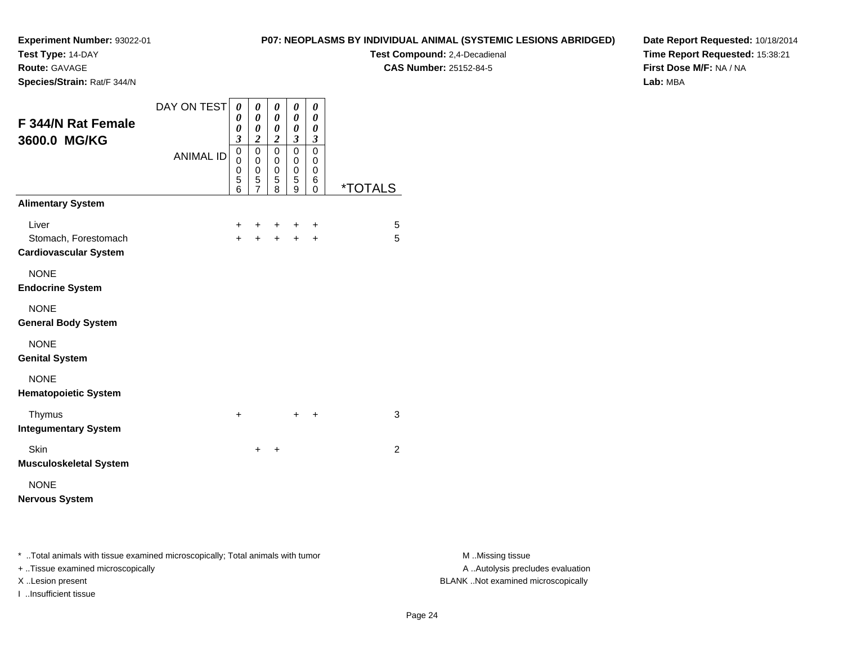**Test Type:** 14-DAY

**Route:** GAVAGE

**Species/Strain:** Rat/F 344/N

#### **P07: NEOPLASMS BY INDIVIDUAL ANIMAL (SYSTEMIC LESIONS ABRIDGED)**

**Test Compound:** 2,4-Decadienal **CAS Number:** 25152-84-5

**Date Report Requested:** 10/18/2014**Time Report Requested:** 15:38:21**First Dose M/F:** NA / NA**Lab:** MBA

| F 344/N Rat Female<br>3600.0 MG/KG                            | DAY ON TEST      | 0<br>0<br>0<br>$\mathfrak{z}$   | 0<br>$\boldsymbol{\theta}$<br>0<br>$\overline{\mathbf{c}}$ | 0<br>0<br>0<br>$\overline{c}$             | 0<br>0<br>0<br>3      | 0<br>0<br>0<br>$\mathfrak{z}$   |                       |
|---------------------------------------------------------------|------------------|---------------------------------|------------------------------------------------------------|-------------------------------------------|-----------------------|---------------------------------|-----------------------|
|                                                               | <b>ANIMAL ID</b> | $\mathbf 0$<br>0<br>0<br>5<br>6 | $\mathbf 0$<br>0<br>$\mathbf 0$<br>5<br>$\overline{7}$     | $\mathbf 0$<br>0<br>$\mathbf 0$<br>5<br>8 | 0<br>0<br>0<br>5<br>9 | $\mathbf 0$<br>0<br>0<br>6<br>0 | <i><b>*TOTALS</b></i> |
| <b>Alimentary System</b>                                      |                  |                                 |                                                            |                                           |                       |                                 |                       |
| Liver<br>Stomach, Forestomach<br><b>Cardiovascular System</b> |                  | +<br>$+$                        | ÷<br>$\ddot{}$                                             | +<br>$\ddot{}$                            | +<br>$\ddot{}$        | $\ddot{}$<br>$\ddot{}$          | 5<br>5                |
| <b>NONE</b><br><b>Endocrine System</b>                        |                  |                                 |                                                            |                                           |                       |                                 |                       |
| <b>NONE</b><br><b>General Body System</b>                     |                  |                                 |                                                            |                                           |                       |                                 |                       |
| <b>NONE</b><br><b>Genital System</b>                          |                  |                                 |                                                            |                                           |                       |                                 |                       |
| <b>NONE</b><br><b>Hematopoietic System</b>                    |                  |                                 |                                                            |                                           |                       |                                 |                       |
| Thymus<br><b>Integumentary System</b>                         |                  | $\ddot{}$                       |                                                            |                                           | ٠                     | ÷                               | 3                     |
| Skin<br><b>Musculoskeletal System</b>                         |                  |                                 | $\ddot{}$                                                  | ÷                                         |                       |                                 | 2                     |
| <b>NONE</b><br><b>Nervous System</b>                          |                  |                                 |                                                            |                                           |                       |                                 |                       |

\* ..Total animals with tissue examined microscopically; Total animals with tumor **M** . Missing tissue M ..Missing tissue

+ ..Tissue examined microscopically

I ..Insufficient tissue